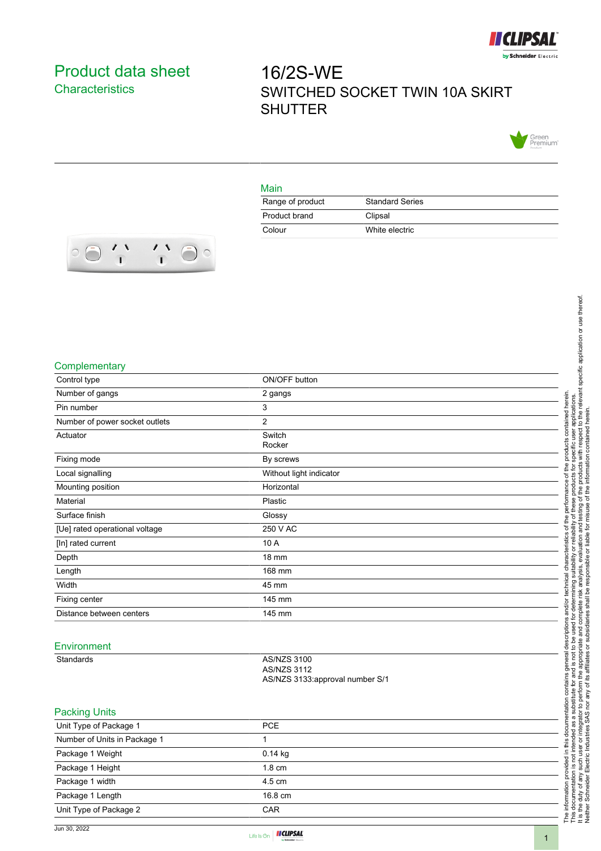

## <span id="page-0-0"></span>Product data sheet **Characteristics**

# 16/2S-WE SWITCHED SOCKET TWIN 10A SKIRT **SHUTTER**



#### Main

| Range of product | <b>Standard Series</b> |
|------------------|------------------------|
| Product brand    | Clipsal                |
| Colour           | White electric         |



#### **Complementary**

| Complementary                  |                                 |                                                                                                                                                                                                                  |
|--------------------------------|---------------------------------|------------------------------------------------------------------------------------------------------------------------------------------------------------------------------------------------------------------|
| Control type                   | ON/OFF button                   |                                                                                                                                                                                                                  |
| Number of gangs                | 2 gangs                         |                                                                                                                                                                                                                  |
| Pin number                     | 3                               | herein.<br>applications                                                                                                                                                                                          |
| Number of power socket outlets | $\overline{2}$                  | contained                                                                                                                                                                                                        |
| Actuator                       | Switch                          |                                                                                                                                                                                                                  |
|                                | Rocker                          | products                                                                                                                                                                                                         |
| Fixing mode                    | By screws                       |                                                                                                                                                                                                                  |
| Local signalling               | Without light indicator         | analysis, evaluation and testing of the products with respect to the relevant specific application or use thereof.<br>responsible or liable for misuse of the information contained herein.<br>of the<br>roducts |
| Mounting position              | Horizontal                      | erformance                                                                                                                                                                                                       |
| Material                       | Plastic                         | ese                                                                                                                                                                                                              |
| Surface finish                 | Glossy                          | ৳<br>the                                                                                                                                                                                                         |
| [Ue] rated operational voltage | 250 V AC                        | ilabilit<br>৳<br>Č                                                                                                                                                                                               |
| [In] rated current             | 10 A                            | teristi<br>ă                                                                                                                                                                                                     |
| Depth                          | 18 mm                           | टू<br>₫                                                                                                                                                                                                          |
| Length                         | 168 mm                          | analysis,<br>둔                                                                                                                                                                                                   |
| Width                          | 45 mm                           | technical                                                                                                                                                                                                        |
| Fixing center                  | 145 mm                          | and complete risk<br>determ                                                                                                                                                                                      |
| Distance between centers       | 145 mm                          | and/or<br>٠ð                                                                                                                                                                                                     |
|                                |                                 | used                                                                                                                                                                                                             |
| Environment                    |                                 | descriptions<br><u>be</u><br>்த                                                                                                                                                                                  |
| Standards                      | <b>AS/NZS 3100</b>              | the appropriat<br>e.<br>৻য়                                                                                                                                                                                      |
|                                | <b>AS/NZS 3112</b>              | and is not<br>gener                                                                                                                                                                                              |
|                                | AS/NZS 3133:approval number S/1 | contains<br>₫                                                                                                                                                                                                    |
|                                |                                 | substitute                                                                                                                                                                                                       |
| <b>Packing Units</b>           |                                 | or integrator to perform<br>this documentation                                                                                                                                                                   |
| Unit Type of Package 1         | <b>PCE</b>                      | a<br>æ                                                                                                                                                                                                           |
| Number of Units in Package 1   | 1                               | The information provided in this docu<br>This documentation is not intended a<br>It is the duty of any such user or integ<br>Neither Schneider Electric Industries                                               |
| Package 1 Weight               | 0.14 kg                         |                                                                                                                                                                                                                  |
| Package 1 Height               | 1.8 cm                          |                                                                                                                                                                                                                  |
| Package 1 width                | 4.5 cm                          |                                                                                                                                                                                                                  |
| Package 1 Length               | 16.8 cm                         |                                                                                                                                                                                                                  |
| Unit Type of Package 2         | CAR                             |                                                                                                                                                                                                                  |
|                                |                                 |                                                                                                                                                                                                                  |

| Unit Type of Package 1       | <b>PCE</b>       |  |
|------------------------------|------------------|--|
| Number of Units in Package 1 |                  |  |
| Package 1 Weight             | $0.14$ kg        |  |
| Package 1 Height             | $1.8 \text{ cm}$ |  |
| Package 1 width              | $4.5 \text{ cm}$ |  |
| Package 1 Length             | 16.8 cm          |  |
| Unit Type of Package 2       | <b>CAR</b>       |  |